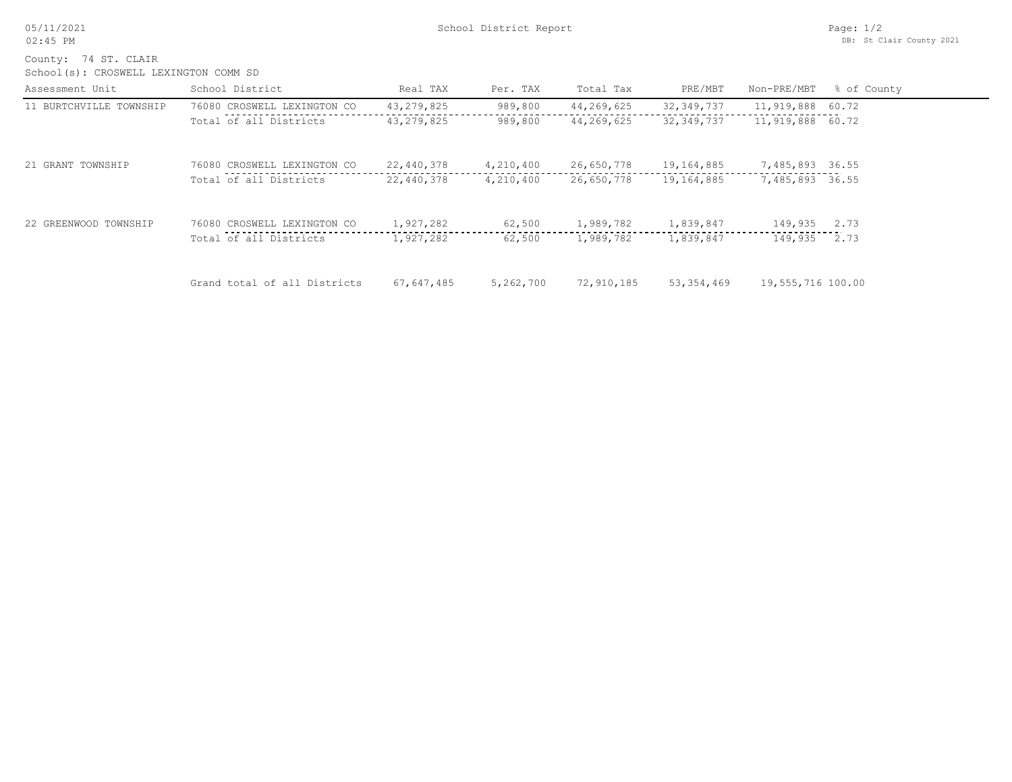05/11/2021 02:45 PM

School(s): CROSWELL LEXINGTON COMM SD County: 74 ST. CLAIR

| Assessment Unit         | School District              | Real TAX     | Per. TAX  | Total Tax  | PRE/MBT      | Non-PRE/MBT       | % of County |
|-------------------------|------------------------------|--------------|-----------|------------|--------------|-------------------|-------------|
| 11 BURTCHVILLE TOWNSHIP | 76080 CROSWELL LEXINGTON CO  | 43, 279, 825 | 989,800   | 44,269,625 | 32, 349, 737 | 11,919,888        | 60.72       |
|                         | Total of all Districts       | 43, 279, 825 | 989,800   | 44,269,625 | 32,349,737   | 11,919,888 60.72  |             |
| 21 GRANT TOWNSHIP       | 76080 CROSWELL LEXINGTON CO  | 22,440,378   | 4,210,400 | 26,650,778 | 19,164,885   | 7,485,893 36.55   |             |
|                         | Total of all Districts       | 22,440,378   | 4,210,400 | 26,650,778 | 19,164,885   | 7,485,893 36.55   |             |
| 22 GREENWOOD TOWNSHIP   | 76080 CROSWELL LEXINGTON CO  | 1,927,282    | 62,500    | 1,989,782  | 1,839,847    | 149,935           | 2.73        |
|                         | Total of all Districts       | 1,927,282    | 62,500    | 1,989,782  | 1,839,847    | 149,935           | 2.73        |
|                         | Grand total of all Districts | 67,647,485   | 5,262,700 | 72,910,185 | 53,354,469   | 19,555,716 100.00 |             |